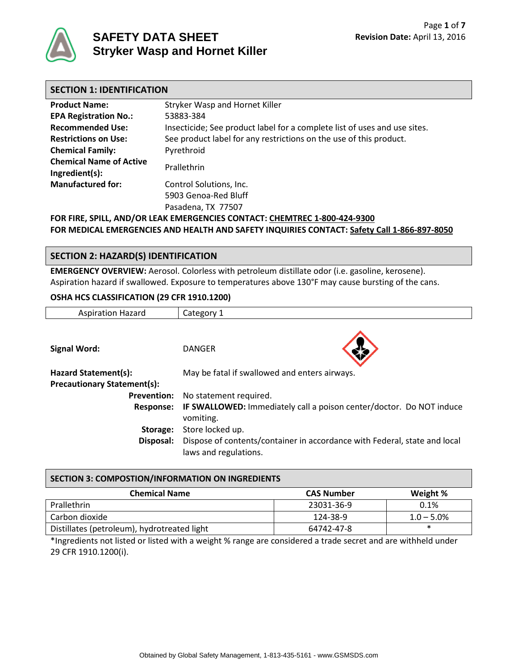

# **SAFETY DATA SHEET Stryker Wasp and Hornet Killer**

| <b>SECTION 1: IDENTIFICATION</b>                                          |                                                                           |  |
|---------------------------------------------------------------------------|---------------------------------------------------------------------------|--|
| <b>Product Name:</b>                                                      | Stryker Wasp and Hornet Killer                                            |  |
| <b>EPA Registration No.:</b>                                              | 53883-384                                                                 |  |
| <b>Recommended Use:</b>                                                   | Insecticide; See product label for a complete list of uses and use sites. |  |
| <b>Restrictions on Use:</b>                                               | See product label for any restrictions on the use of this product.        |  |
| <b>Chemical Family:</b>                                                   | Pyrethroid                                                                |  |
| <b>Chemical Name of Active</b><br>Ingredient(s):                          | Prallethrin                                                               |  |
| <b>Manufactured for:</b>                                                  | Control Solutions, Inc.                                                   |  |
|                                                                           | 5903 Genoa-Red Bluff                                                      |  |
|                                                                           | Pasadena, TX 77507                                                        |  |
| FOR FIRE, SPILL, AND/OR LEAK EMERGENCIES CONTACT: CHEMTREC 1-800-424-9300 |                                                                           |  |

**FOR MEDICAL EMERGENCIES AND HEALTH AND SAFETY INQUIRIES CONTACT: Safety Call 1-866-897-8050**

# **SECTION 2: HAZARD(S) IDENTIFICATION**

**EMERGENCY OVERVIEW:** Aerosol. Colorless with petroleum distillate odor (i.e. gasoline, kerosene). Aspiration hazard if swallowed. Exposure to temperatures above 130°F may cause bursting of the cans.

#### **OSHA HCS CLASSIFICATION (29 CFR 1910.1200)**

| <b>Aspiration Hazard</b>           | Category 1                                                                                         |  |  |
|------------------------------------|----------------------------------------------------------------------------------------------------|--|--|
|                                    |                                                                                                    |  |  |
| <b>Signal Word:</b>                | <b>DANGER</b>                                                                                      |  |  |
| Hazard Statement(s):               | May be fatal if swallowed and enters airways.                                                      |  |  |
| <b>Precautionary Statement(s):</b> |                                                                                                    |  |  |
| <b>Prevention:</b>                 | No statement required.                                                                             |  |  |
| <b>Response:</b>                   | IF SWALLOWED: Immediately call a poison center/doctor. Do NOT induce<br>vomiting.                  |  |  |
| Storage:                           | Store locked up.                                                                                   |  |  |
| Disposal:                          | Dispose of contents/container in accordance with Federal, state and local<br>laws and regulations. |  |  |

#### **SECTION 3: COMPOSTION/INFORMATION ON INGREDIENTS**

| <b>Chemical Name</b>                        | <b>CAS Number</b> | Weight %      |
|---------------------------------------------|-------------------|---------------|
| Prallethrin                                 | 23031-36-9        | 0.1%          |
| Carbon dioxide                              | 124-38-9          | $1.0 - 5.0\%$ |
| Distillates (petroleum), hydrotreated light | 64742-47-8        | ж             |

\*Ingredients not listed or listed with a weight % range are considered a trade secret and are withheld under 29 CFR 1910.1200(i).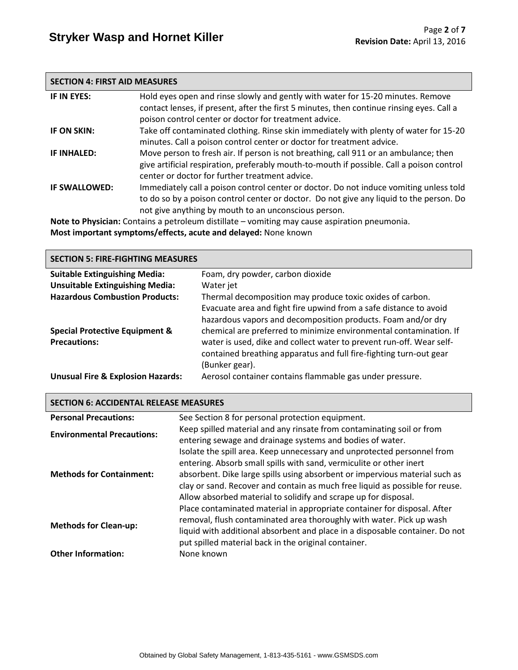#### **SECTION 4: FIRST AID MEASURES**

| IF IN EYES:        | Hold eyes open and rinse slowly and gently with water for 15-20 minutes. Remove<br>contact lenses, if present, after the first 5 minutes, then continue rinsing eyes. Call a<br>poison control center or doctor for treatment advice.     |
|--------------------|-------------------------------------------------------------------------------------------------------------------------------------------------------------------------------------------------------------------------------------------|
| IF ON SKIN:        | Take off contaminated clothing. Rinse skin immediately with plenty of water for 15-20<br>minutes. Call a poison control center or doctor for treatment advice.                                                                            |
| <b>IF INHALED:</b> | Move person to fresh air. If person is not breathing, call 911 or an ambulance; then<br>give artificial respiration, preferably mouth-to-mouth if possible. Call a poison control<br>center or doctor for further treatment advice.       |
| IF SWALLOWED:      | Immediately call a poison control center or doctor. Do not induce vomiting unless told<br>to do so by a poison control center or doctor. Do not give any liquid to the person. Do<br>not give anything by mouth to an unconscious person. |

**Note to Physician:** Contains a petroleum distillate – vomiting may cause aspiration pneumonia. **Most important symptoms/effects, acute and delayed:** None known

# **SECTION 5: FIRE-FIGHTING MEASURES**

| <b>Suitable Extinguishing Media:</b>         | Foam, dry powder, carbon dioxide                                     |
|----------------------------------------------|----------------------------------------------------------------------|
| <b>Unsuitable Extinguishing Media:</b>       | Water jet                                                            |
| <b>Hazardous Combustion Products:</b>        | Thermal decomposition may produce toxic oxides of carbon.            |
|                                              | Evacuate area and fight fire upwind from a safe distance to avoid    |
|                                              | hazardous vapors and decomposition products. Foam and/or dry         |
| <b>Special Protective Equipment &amp;</b>    | chemical are preferred to minimize environmental contamination. If   |
| <b>Precautions:</b>                          | water is used, dike and collect water to prevent run-off. Wear self- |
|                                              | contained breathing apparatus and full fire-fighting turn-out gear   |
|                                              | (Bunker gear).                                                       |
| <b>Unusual Fire &amp; Explosion Hazards:</b> | Aerosol container contains flammable gas under pressure.             |

# **SECTION 6: ACCIDENTAL RELEASE MEASURES**

| <b>Personal Precautions:</b>      | See Section 8 for personal protection equipment.                                                                                                                                                                                                                                                                                                                                 |
|-----------------------------------|----------------------------------------------------------------------------------------------------------------------------------------------------------------------------------------------------------------------------------------------------------------------------------------------------------------------------------------------------------------------------------|
| <b>Environmental Precautions:</b> | Keep spilled material and any rinsate from contaminating soil or from<br>entering sewage and drainage systems and bodies of water.                                                                                                                                                                                                                                               |
| <b>Methods for Containment:</b>   | Isolate the spill area. Keep unnecessary and unprotected personnel from<br>entering. Absorb small spills with sand, vermiculite or other inert<br>absorbent. Dike large spills using absorbent or impervious material such as<br>clay or sand. Recover and contain as much free liquid as possible for reuse.<br>Allow absorbed material to solidify and scrape up for disposal. |
| <b>Methods for Clean-up:</b>      | Place contaminated material in appropriate container for disposal. After<br>removal, flush contaminated area thoroughly with water. Pick up wash<br>liquid with additional absorbent and place in a disposable container. Do not<br>put spilled material back in the original container.                                                                                         |
| <b>Other Information:</b>         | None known                                                                                                                                                                                                                                                                                                                                                                       |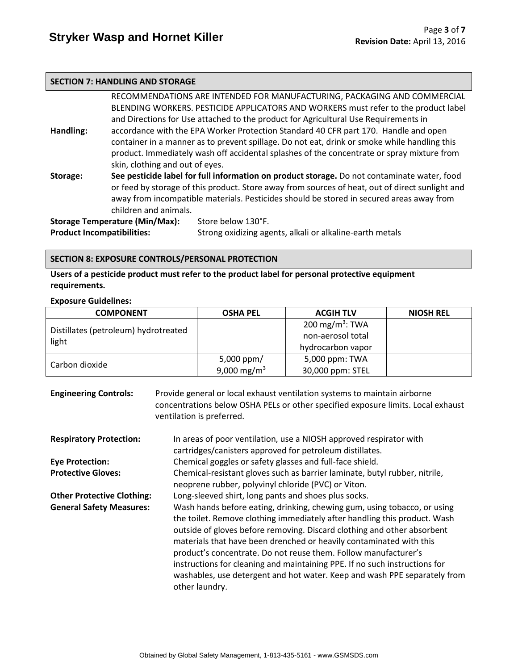# **SECTION 7: HANDLING AND STORAGE**

|                                                                                               |                       | RECOMMENDATIONS ARE INTENDED FOR MANUFACTURING, PACKAGING AND COMMERCIAL                        |  |  |
|-----------------------------------------------------------------------------------------------|-----------------------|-------------------------------------------------------------------------------------------------|--|--|
|                                                                                               |                       | BLENDING WORKERS. PESTICIDE APPLICATORS AND WORKERS must refer to the product label             |  |  |
|                                                                                               |                       | and Directions for Use attached to the product for Agricultural Use Requirements in             |  |  |
| Handling:                                                                                     |                       | accordance with the EPA Worker Protection Standard 40 CFR part 170. Handle and open             |  |  |
|                                                                                               |                       | container in a manner as to prevent spillage. Do not eat, drink or smoke while handling this    |  |  |
|                                                                                               |                       | product. Immediately wash off accidental splashes of the concentrate or spray mixture from      |  |  |
| skin, clothing and out of eyes.                                                               |                       |                                                                                                 |  |  |
| Storage:                                                                                      |                       | See pesticide label for full information on product storage. Do not contaminate water, food     |  |  |
|                                                                                               |                       | or feed by storage of this product. Store away from sources of heat, out of direct sunlight and |  |  |
|                                                                                               |                       | away from incompatible materials. Pesticides should be stored in secured areas away from        |  |  |
|                                                                                               | children and animals. |                                                                                                 |  |  |
| <b>Storage Temperature (Min/Max):</b>                                                         |                       | Store below 130°F.                                                                              |  |  |
| <b>Product Incompatibilities:</b><br>Strong oxidizing agents, alkali or alkaline-earth metals |                       |                                                                                                 |  |  |

# **SECTION 8: EXPOSURE CONTROLS/PERSONAL PROTECTION**

**Users of a pesticide product must refer to the product label for personal protective equipment requirements.**

#### **Exposure Guidelines:**

| <b>COMPONENT</b>                     | <b>OSHA PEL</b>         | <b>ACGIH TLV</b>            | <b>NIOSH REL</b> |
|--------------------------------------|-------------------------|-----------------------------|------------------|
| Distillates (petroleum) hydrotreated |                         | 200 mg/m <sup>3</sup> : TWA |                  |
| light                                |                         | non-aerosol total           |                  |
|                                      |                         | hydrocarbon vapor           |                  |
|                                      | 5,000 ppm/              | 5,000 ppm: TWA              |                  |
| Carbon dioxide                       | 9,000 mg/m <sup>3</sup> | 30,000 ppm: STEL            |                  |

| <b>Engineering Controls:</b>      | Provide general or local exhaust ventilation systems to maintain airborne<br>concentrations below OSHA PELs or other specified exposure limits. Local exhaust<br>ventilation is preferred.                                                                                                                                                                                                                                                                                                                                                              |  |  |
|-----------------------------------|---------------------------------------------------------------------------------------------------------------------------------------------------------------------------------------------------------------------------------------------------------------------------------------------------------------------------------------------------------------------------------------------------------------------------------------------------------------------------------------------------------------------------------------------------------|--|--|
| <b>Respiratory Protection:</b>    | In areas of poor ventilation, use a NIOSH approved respirator with<br>cartridges/canisters approved for petroleum distillates.                                                                                                                                                                                                                                                                                                                                                                                                                          |  |  |
| <b>Eye Protection:</b>            | Chemical goggles or safety glasses and full-face shield.                                                                                                                                                                                                                                                                                                                                                                                                                                                                                                |  |  |
| <b>Protective Gloves:</b>         | Chemical-resistant gloves such as barrier laminate, butyl rubber, nitrile,<br>neoprene rubber, polyvinyl chloride (PVC) or Viton.                                                                                                                                                                                                                                                                                                                                                                                                                       |  |  |
| <b>Other Protective Clothing:</b> | Long-sleeved shirt, long pants and shoes plus socks.                                                                                                                                                                                                                                                                                                                                                                                                                                                                                                    |  |  |
| <b>General Safety Measures:</b>   | Wash hands before eating, drinking, chewing gum, using tobacco, or using<br>the toilet. Remove clothing immediately after handling this product. Wash<br>outside of gloves before removing. Discard clothing and other absorbent<br>materials that have been drenched or heavily contaminated with this<br>product's concentrate. Do not reuse them. Follow manufacturer's<br>instructions for cleaning and maintaining PPE. If no such instructions for<br>washables, use detergent and hot water. Keep and wash PPE separately from<br>other laundry. |  |  |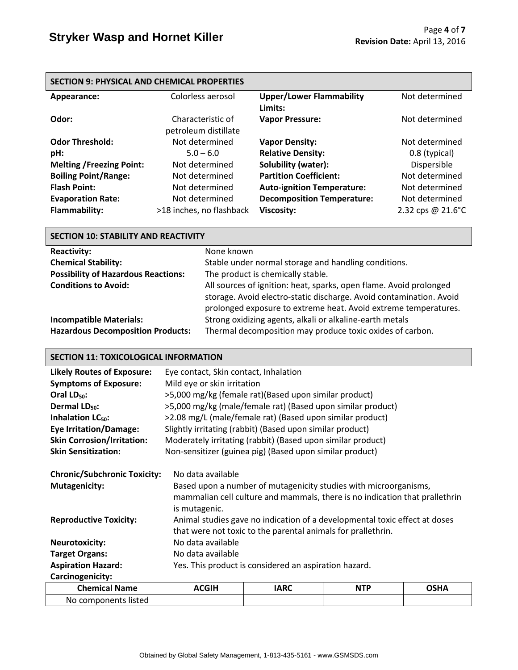| <b>SECTION 9: PHYSICAL AND CHEMICAL PROPERTIES</b> |                                           |                                            |                   |  |
|----------------------------------------------------|-------------------------------------------|--------------------------------------------|-------------------|--|
| Appearance:                                        | Colorless aerosol                         | <b>Upper/Lower Flammability</b><br>Limits: | Not determined    |  |
| Odor:                                              | Characteristic of<br>petroleum distillate | <b>Vapor Pressure:</b>                     | Not determined    |  |
| <b>Odor Threshold:</b>                             | Not determined                            | <b>Vapor Density:</b>                      | Not determined    |  |
| pH:                                                | $5.0 - 6.0$                               | <b>Relative Density:</b>                   | 0.8 (typical)     |  |
| <b>Melting /Freezing Point:</b>                    | Not determined                            | Solubility (water):                        | Dispersible       |  |
| <b>Boiling Point/Range:</b>                        | Not determined                            | <b>Partition Coefficient:</b>              | Not determined    |  |
| <b>Flash Point:</b>                                | Not determined                            | <b>Auto-ignition Temperature:</b>          | Not determined    |  |
| <b>Evaporation Rate:</b>                           | Not determined                            | <b>Decomposition Temperature:</b>          | Not determined    |  |
| <b>Flammability:</b>                               | >18 inches, no flashback                  | <b>Viscosity:</b>                          | 2.32 cps @ 21.6°C |  |

| <b>SECTION 10: STABILITY AND REACTIVITY</b>                                |                                                                                                                                                                                                              |  |  |
|----------------------------------------------------------------------------|--------------------------------------------------------------------------------------------------------------------------------------------------------------------------------------------------------------|--|--|
| <b>Reactivity:</b>                                                         | None known                                                                                                                                                                                                   |  |  |
| <b>Chemical Stability:</b>                                                 | Stable under normal storage and handling conditions.                                                                                                                                                         |  |  |
| <b>Possibility of Hazardous Reactions:</b>                                 | The product is chemically stable.                                                                                                                                                                            |  |  |
| <b>Conditions to Avoid:</b>                                                | All sources of ignition: heat, sparks, open flame. Avoid prolonged<br>storage. Avoid electro-static discharge. Avoid contamination. Avoid<br>prolonged exposure to extreme heat. Avoid extreme temperatures. |  |  |
| <b>Incompatible Materials:</b><br><b>Hazardous Decomposition Products:</b> | Strong oxidizing agents, alkali or alkaline-earth metals<br>Thermal decomposition may produce toxic oxides of carbon.                                                                                        |  |  |

# **SECTION 11: TOXICOLOGICAL INFORMATION**

| <b>Likely Routes of Exposure:</b>   | Eye contact, Skin contact, Inhalation                                       |                                                                  |            |             |  |
|-------------------------------------|-----------------------------------------------------------------------------|------------------------------------------------------------------|------------|-------------|--|
| <b>Symptoms of Exposure:</b>        | Mild eye or skin irritation                                                 |                                                                  |            |             |  |
| Oral $LD_{50}$ :                    | >5,000 mg/kg (female rat)(Based upon similar product)                       |                                                                  |            |             |  |
| Dermal LD <sub>50</sub> :           |                                                                             | >5,000 mg/kg (male/female rat) (Based upon similar product)      |            |             |  |
| Inhalation LC <sub>50</sub> :       |                                                                             | >2.08 mg/L (male/female rat) (Based upon similar product)        |            |             |  |
| <b>Eye Irritation/Damage:</b>       |                                                                             | Slightly irritating (rabbit) (Based upon similar product)        |            |             |  |
| <b>Skin Corrosion/Irritation:</b>   |                                                                             | Moderately irritating (rabbit) (Based upon similar product)      |            |             |  |
| <b>Skin Sensitization:</b>          |                                                                             | Non-sensitizer (guinea pig) (Based upon similar product)         |            |             |  |
|                                     |                                                                             |                                                                  |            |             |  |
| <b>Chronic/Subchronic Toxicity:</b> | No data available                                                           |                                                                  |            |             |  |
| <b>Mutagenicity:</b>                |                                                                             | Based upon a number of mutagenicity studies with microorganisms, |            |             |  |
|                                     | mammalian cell culture and mammals, there is no indication that prallethrin |                                                                  |            |             |  |
|                                     | is mutagenic.                                                               |                                                                  |            |             |  |
| <b>Reproductive Toxicity:</b>       | Animal studies gave no indication of a developmental toxic effect at doses  |                                                                  |            |             |  |
|                                     | that were not toxic to the parental animals for prallethrin.                |                                                                  |            |             |  |
| <b>Neurotoxicity:</b>               | No data available                                                           |                                                                  |            |             |  |
| <b>Target Organs:</b>               | No data available                                                           |                                                                  |            |             |  |
| <b>Aspiration Hazard:</b>           | Yes. This product is considered an aspiration hazard.                       |                                                                  |            |             |  |
| Carcinogenicity:                    |                                                                             |                                                                  |            |             |  |
| <b>Chemical Name</b>                | <b>ACGIH</b>                                                                | <b>IARC</b>                                                      | <b>NTP</b> | <b>OSHA</b> |  |
| No components listed                |                                                                             |                                                                  |            |             |  |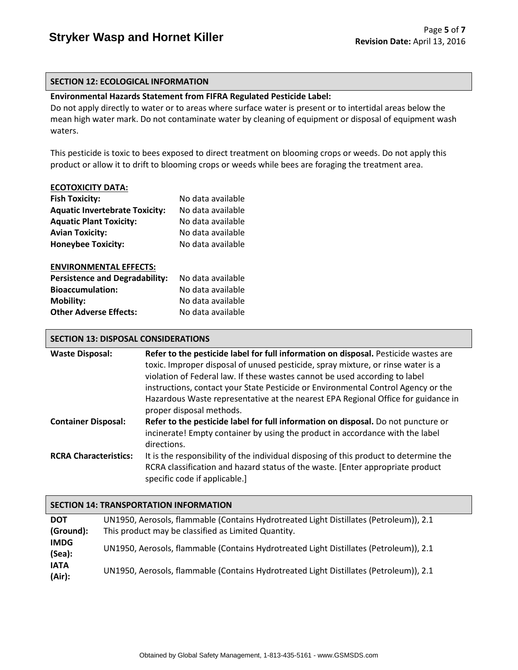#### **SECTION 12: ECOLOGICAL INFORMATION**

# **Environmental Hazards Statement from FIFRA Regulated Pesticide Label:**

Do not apply directly to water or to areas where surface water is present or to intertidal areas below the mean high water mark. Do not contaminate water by cleaning of equipment or disposal of equipment wash waters.

This pesticide is toxic to bees exposed to direct treatment on blooming crops or weeds. Do not apply this product or allow it to drift to blooming crops or weeds while bees are foraging the treatment area.

#### **ECOTOXICITY DATA:**

| <b>Fish Toxicity:</b>                 | No data available |
|---------------------------------------|-------------------|
| <b>Aquatic Invertebrate Toxicity:</b> | No data available |
| <b>Aquatic Plant Toxicity:</b>        | No data available |
| <b>Avian Toxicity:</b>                | No data available |
| <b>Honeybee Toxicity:</b>             | No data available |
|                                       |                   |
| <b>ENVIRONMENTAL EFFECTS:</b>         |                   |
| <b>Persistence and Degradability:</b> | No data available |
| <b>Bioaccumulation:</b>               | No data available |
| <b>Mobility:</b>                      | No data available |
| <b>Other Adverse Effects:</b>         | No data available |

# **SECTION 13: DISPOSAL CONSIDERATIONS**

| <b>Waste Disposal:</b>       | Refer to the pesticide label for full information on disposal. Pesticide wastes are   |  |  |
|------------------------------|---------------------------------------------------------------------------------------|--|--|
|                              | toxic. Improper disposal of unused pesticide, spray mixture, or rinse water is a      |  |  |
|                              | violation of Federal law. If these wastes cannot be used according to label           |  |  |
|                              | instructions, contact your State Pesticide or Environmental Control Agency or the     |  |  |
|                              | Hazardous Waste representative at the nearest EPA Regional Office for guidance in     |  |  |
|                              | proper disposal methods.                                                              |  |  |
| <b>Container Disposal:</b>   | Refer to the pesticide label for full information on disposal. Do not puncture or     |  |  |
|                              | incinerate! Empty container by using the product in accordance with the label         |  |  |
|                              | directions.                                                                           |  |  |
| <b>RCRA Characteristics:</b> | It is the responsibility of the individual disposing of this product to determine the |  |  |
|                              | RCRA classification and hazard status of the waste. [Enter appropriate product]       |  |  |
|                              | specific code if applicable.]                                                         |  |  |

# **SECTION 14: TRANSPORTATION INFORMATION**

| <b>DOT</b><br>(Ground):     | UN1950, Aerosols, flammable (Contains Hydrotreated Light Distillates (Petroleum)), 2.1<br>This product may be classified as Limited Quantity. |
|-----------------------------|-----------------------------------------------------------------------------------------------------------------------------------------------|
| <b>IMDG</b><br>$($ Sea $):$ | UN1950, Aerosols, flammable (Contains Hydrotreated Light Distillates (Petroleum)), 2.1                                                        |
| <b>IATA</b><br>(Air):       | UN1950, Aerosols, flammable (Contains Hydrotreated Light Distillates (Petroleum)), 2.1                                                        |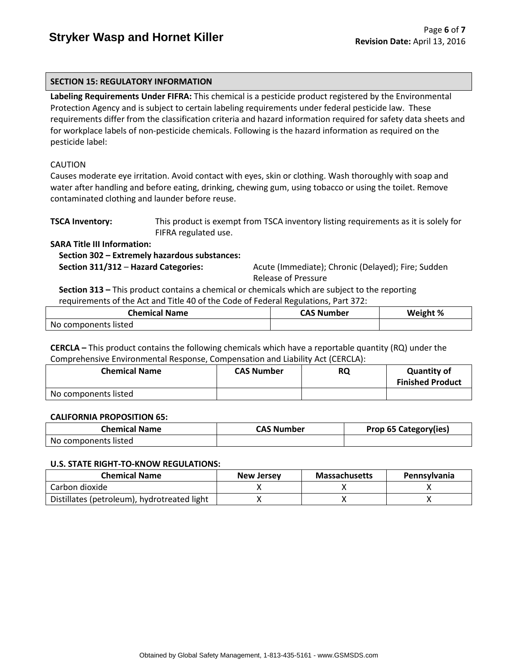# **SECTION 15: REGULATORY INFORMATION**

**Labeling Requirements Under FIFRA:** This chemical is a pesticide product registered by the Environmental Protection Agency and is subject to certain labeling requirements under federal pesticide law. These requirements differ from the classification criteria and hazard information required for safety data sheets and for workplace labels of non-pesticide chemicals. Following is the hazard information as required on the pesticide label:

#### CAUTION

Causes moderate eye irritation. Avoid contact with eyes, skin or clothing. Wash thoroughly with soap and water after handling and before eating, drinking, chewing gum, using tobacco or using the toilet. Remove contaminated clothing and launder before reuse.

| <b>TSCA Inventory:</b> | This product is exempt from TSCA inventory listing requirements as it is solely for |
|------------------------|-------------------------------------------------------------------------------------|
|                        | FIFRA regulated use.                                                                |

**SARA Title III Information:**

 **Section 302 – Extremely hazardous substances:**

 **Section 311/312** – **Hazard Categories:** Acute (Immediate); Chronic (Delayed); Fire; Sudden Release of Pressure

 **Section 313 –** This product contains a chemical or chemicals which are subject to the reporting requirements of the Act and Title 40 of the Code of Federal Regulations, Part 372:

| <b>Chemical Name</b> | CAS Number | Weight % |
|----------------------|------------|----------|
| No components listed |            |          |

**CERCLA –** This product contains the following chemicals which have a reportable quantity (RQ) under the Comprehensive Environmental Response, Compensation and Liability Act (CERCLA):

| <b>Chemical Name</b> | <b>CAS Number</b> | RQ | <b>Quantity of</b><br><b>Finished Product</b> |
|----------------------|-------------------|----|-----------------------------------------------|
| No components listed |                   |    |                                               |

#### **CALIFORNIA PROPOSITION 65:**

| <b>Chemical Name</b> | <b>CAS Number</b> | Prop 65 Category(ies) |
|----------------------|-------------------|-----------------------|
| No components listed |                   |                       |

#### **U.S. STATE RIGHT-TO-KNOW REGULATIONS:**

| <b>Chemical Name</b>                        | New Jersey | <b>Massachusetts</b> | <b>Pennsylvania</b> |
|---------------------------------------------|------------|----------------------|---------------------|
| Carbon dioxide                              |            |                      |                     |
| Distillates (petroleum), hydrotreated light |            |                      |                     |